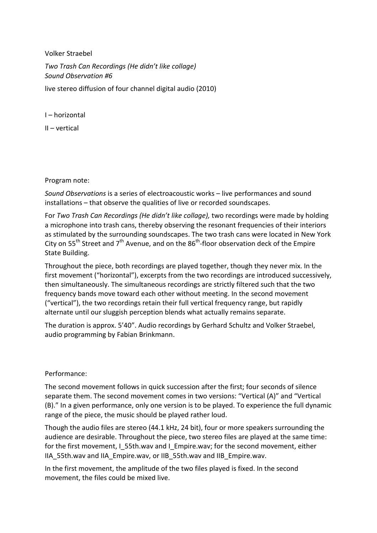Volker Straebel *Two Trash Can Recordings (He didn't like collage) Sound Observation #6*  live stereo diffusion of four channel digital audio (2010)

I – horizontal

II – vertical

Program note:

*Sound Observations* is a series of electroacoustic works – live performances and sound installations – that observe the qualities of live or recorded soundscapes.

For *Two Trash Can Recordings (He didn't like collage),* two recordings were made by holding a microphone into trash cans, thereby observing the resonant frequencies of their interiors as stimulated by the surrounding soundscapes. The two trash cans were located in New York City on  $55^{th}$  Street and  $7^{th}$  Avenue, and on the  $86^{th}$ -floor observation deck of the Empire State Building.

Throughout the piece, both recordings are played together, though they never mix. In the first movement ("horizontal"), excerpts from the two recordings are introduced successively, then simultaneously. The simultaneous recordings are strictly filtered such that the two frequency bands move toward each other without meeting. In the second movement ("vertical"), the two recordings retain their full vertical frequency range, but rapidly alternate until our sluggish perception blends what actually remains separate.

The duration is approx. 5'40". Audio recordings by Gerhard Schultz and Volker Straebel, audio programming by Fabian Brinkmann.

## Performance:

The second movement follows in quick succession after the first; four seconds of silence separate them. The second movement comes in two versions: "Vertical (A)" and "Vertical (B)." In a given performance, only one version is to be played. To experience the full dynamic range of the piece, the music should be played rather loud.

Though the audio files are stereo (44.1 kHz, 24 bit), four or more speakers surrounding the audience are desirable. Throughout the piece, two stereo files are played at the same time: for the first movement, I\_55th.wav and I\_Empire.wav; for the second movement, either IIA\_55th.wav and IIA\_Empire.wav, or IIB\_55th.wav and IIB\_Empire.wav.

In the first movement, the amplitude of the two files played is fixed. In the second movement, the files could be mixed live.